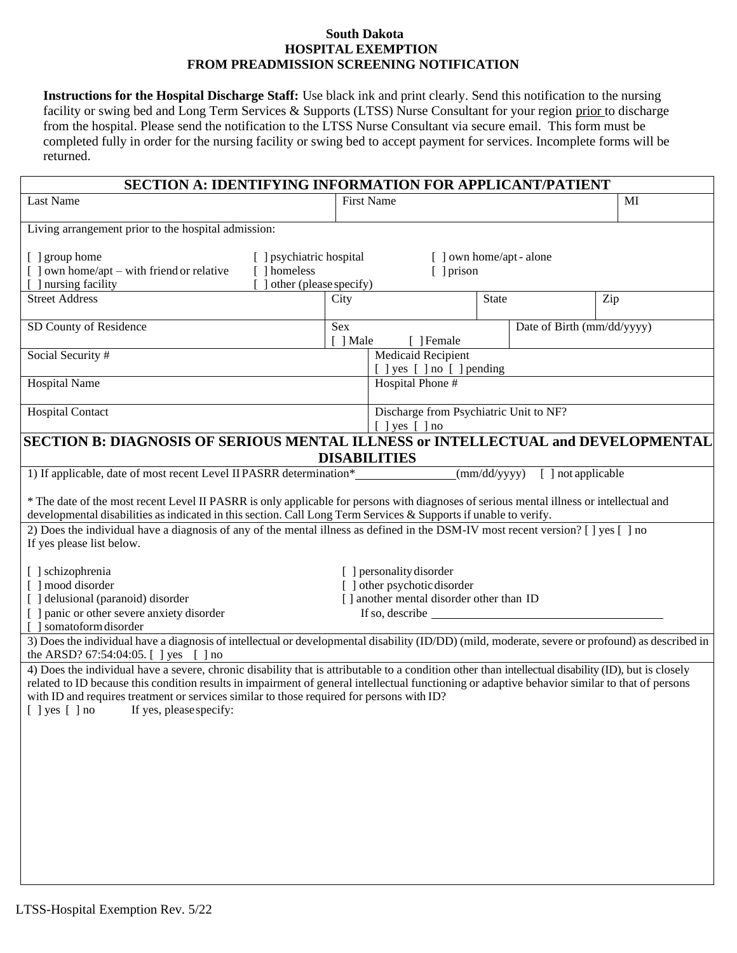## **South Dakota HOSPITAL EXEMPTION FROM PREADMISSION SCREENING NOTIFICATION**

**Instructions for the Hospital Discharge Staff:** Use black ink and print clearly. Send this notification to the nursing facility or swing bed and Long Term Services & Supports (LTSS) Nurse Consultant for your region prior to discharge from the hospital. Please send the notification to the LTSS Nurse Consultant via secure email. This form must be completed fully in order for the nursing facility or swing bed to accept payment for services. Incomplete forms will be returned.

| <b>SECTION A: IDENTIFYING INFORMATION FOR APPLICANT/PATIENT</b>                                                                                                                                                                                                                                                                                                                                                                                                                                                                                                                                                                                                |                                                         |                                                                                                                                                  |              |                            |     |  |
|----------------------------------------------------------------------------------------------------------------------------------------------------------------------------------------------------------------------------------------------------------------------------------------------------------------------------------------------------------------------------------------------------------------------------------------------------------------------------------------------------------------------------------------------------------------------------------------------------------------------------------------------------------------|---------------------------------------------------------|--------------------------------------------------------------------------------------------------------------------------------------------------|--------------|----------------------------|-----|--|
| Last Name                                                                                                                                                                                                                                                                                                                                                                                                                                                                                                                                                                                                                                                      | <b>First Name</b>                                       |                                                                                                                                                  |              |                            | MI  |  |
| Living arrangement prior to the hospital admission:                                                                                                                                                                                                                                                                                                                                                                                                                                                                                                                                                                                                            |                                                         |                                                                                                                                                  |              |                            |     |  |
| [ ] group home<br>[ ] psychiatric hospital<br>[ ] own home/apt - alone<br>$\lbrack$ ] own home/apt – with friend or relative<br>[ ] homeless<br>$[ ]$ prison<br>other (please specify)<br>] nursing facility                                                                                                                                                                                                                                                                                                                                                                                                                                                   |                                                         |                                                                                                                                                  |              |                            |     |  |
| <b>Street Address</b>                                                                                                                                                                                                                                                                                                                                                                                                                                                                                                                                                                                                                                          | City                                                    |                                                                                                                                                  | <b>State</b> |                            | Zip |  |
| SD County of Residence                                                                                                                                                                                                                                                                                                                                                                                                                                                                                                                                                                                                                                         | Sex<br>[ ] Male<br>Female                               |                                                                                                                                                  |              | Date of Birth (mm/dd/yyyy) |     |  |
| Social Security #                                                                                                                                                                                                                                                                                                                                                                                                                                                                                                                                                                                                                                              | <b>Medicaid Recipient</b><br>[ ] yes [ ] no [ ] pending |                                                                                                                                                  |              |                            |     |  |
| <b>Hospital Name</b>                                                                                                                                                                                                                                                                                                                                                                                                                                                                                                                                                                                                                                           |                                                         | Hospital Phone #                                                                                                                                 |              |                            |     |  |
| <b>Hospital Contact</b>                                                                                                                                                                                                                                                                                                                                                                                                                                                                                                                                                                                                                                        |                                                         | Discharge from Psychiatric Unit to NF?<br>$[$ ] yes $[$ ] no                                                                                     |              |                            |     |  |
| SECTION B: DIAGNOSIS OF SERIOUS MENTAL ILLNESS or INTELLECTUAL and DEVELOPMENTAL                                                                                                                                                                                                                                                                                                                                                                                                                                                                                                                                                                               |                                                         |                                                                                                                                                  |              |                            |     |  |
|                                                                                                                                                                                                                                                                                                                                                                                                                                                                                                                                                                                                                                                                |                                                         | <b>DISABILITIES</b>                                                                                                                              |              |                            |     |  |
| 1) If applicable, date of most recent Level II PASRR determination*<br>* The date of the most recent Level II PASRR is only applicable for persons with diagnoses of serious mental illness or intellectual and<br>developmental disabilities as indicated in this section. Call Long Term Services & Supports if unable to verify.<br>2) Does the individual have a diagnosis of any of the mental illness as defined in the DSM-IV most recent version? [ ] yes [ ] no<br>If yes please list below.<br>[ ] schizophrenia<br>[ ] mood disorder<br>[ ] delusional (paranoid) disorder<br>[ ] panic or other severe anxiety disorder<br>[ ] somatoform disorder |                                                         | [ ] personality disorder<br>[ ] other psychotic disorder<br>[] another mental disorder other than ID<br>If so, describe $\overline{\phantom{a}}$ | (mm/dd/yyyy) | [ ] not applicable         |     |  |
| 3) Does the individual have a diagnosis of intellectual or developmental disability (ID/DD) (mild, moderate, severe or profound) as described in<br>the ARSD? 67:54:04:05. [ ] yes [ ] no                                                                                                                                                                                                                                                                                                                                                                                                                                                                      |                                                         |                                                                                                                                                  |              |                            |     |  |
| 4) Does the individual have a severe, chronic disability that is attributable to a condition other than intellectual disability (ID), but is closely<br>related to ID because this condition results in impairment of general intellectual functioning or adaptive behavior similar to that of persons<br>with ID and requires treatment or services similar to those required for persons with ID?<br>$[$ ] yes $[$ ] no<br>If yes, please specify:                                                                                                                                                                                                           |                                                         |                                                                                                                                                  |              |                            |     |  |